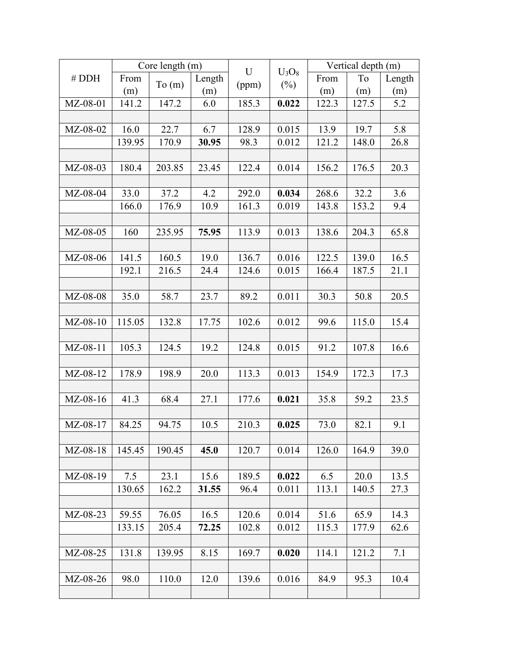| # DDH      | Core length (m) |        |        | U     |                    | Vertical depth (m) |       |        |
|------------|-----------------|--------|--------|-------|--------------------|--------------------|-------|--------|
|            | From            | To(m)  | Length | (ppm) | $U_3O_8$<br>$(\%)$ | From               | To    | Length |
|            | (m)             |        | (m)    |       |                    | (m)                | (m)   | (m)    |
| MZ-08-01   | 141.2           | 147.2  | 6.0    | 185.3 | 0.022              | 122.3              | 127.5 | 5.2    |
|            |                 |        |        |       |                    |                    |       |        |
| MZ-08-02   | 16.0            | 22.7   | 6.7    | 128.9 | 0.015              | 13.9               | 19.7  | 5.8    |
|            | 139.95          | 170.9  | 30.95  | 98.3  | 0.012              | 121.2              | 148.0 | 26.8   |
|            |                 |        |        |       |                    |                    |       |        |
| MZ-08-03   | 180.4           | 203.85 | 23.45  | 122.4 | 0.014              | 156.2              | 176.5 | 20.3   |
|            |                 |        |        |       |                    |                    |       |        |
| MZ-08-04   | 33.0            | 37.2   | 4.2    | 292.0 | 0.034              | 268.6              | 32.2  | 3.6    |
|            | 166.0           | 176.9  | 10.9   | 161.3 | 0.019              | 143.8              | 153.2 | 9.4    |
|            |                 |        |        |       |                    |                    |       |        |
| MZ-08-05   | 160             | 235.95 | 75.95  | 113.9 | 0.013              | 138.6              | 204.3 | 65.8   |
|            |                 |        |        |       |                    |                    |       |        |
| MZ-08-06   | 141.5           | 160.5  | 19.0   | 136.7 | 0.016              | 122.5              | 139.0 | 16.5   |
|            | 192.1           | 216.5  | 24.4   | 124.6 | 0.015              | 166.4              | 187.5 | 21.1   |
|            |                 |        |        |       |                    |                    |       |        |
| MZ-08-08   | 35.0            | 58.7   | 23.7   | 89.2  | 0.011              | 30.3               | 50.8  | 20.5   |
|            |                 |        |        |       |                    |                    |       |        |
| $MZ-08-10$ | 115.05          | 132.8  | 17.75  | 102.6 | 0.012              | 99.6               | 115.0 | 15.4   |
|            |                 |        |        |       |                    |                    |       |        |
| MZ-08-11   | 105.3           | 124.5  | 19.2   | 124.8 | 0.015              | 91.2               | 107.8 | 16.6   |
|            |                 |        |        |       |                    |                    |       |        |
| MZ-08-12   | 178.9           | 198.9  | 20.0   | 113.3 | 0.013              | 154.9              | 172.3 | 17.3   |
|            |                 |        |        |       |                    |                    |       |        |
| MZ-08-16   | 41.3            | 68.4   | 27.1   | 177.6 | 0.021              | 35.8               | 59.2  | 23.5   |
|            |                 |        |        |       |                    |                    |       |        |
| MZ-08-17   | 84.25           | 94.75  | 10.5   | 210.3 | 0.025              | 73.0               | 82.1  | 9.1    |
|            |                 |        |        |       |                    |                    |       |        |
| MZ-08-18   | 145.45          | 190.45 | 45.0   | 120.7 | 0.014              | 126.0              | 164.9 | 39.0   |
|            |                 |        |        |       |                    |                    |       |        |
| MZ-08-19   | 7.5             | 23.1   | 15.6   | 189.5 | 0.022              | 6.5                | 20.0  | 13.5   |
|            | 130.65          | 162.2  | 31.55  | 96.4  | 0.011              | 113.1              | 140.5 | 27.3   |
|            |                 |        |        |       |                    |                    |       |        |
| $MZ-08-23$ | 59.55           | 76.05  | 16.5   | 120.6 | 0.014              | 51.6               | 65.9  | 14.3   |
|            | 133.15          | 205.4  | 72.25  | 102.8 | 0.012              | 115.3              | 177.9 | 62.6   |
|            |                 |        |        |       |                    |                    |       |        |
| MZ-08-25   | 131.8           | 139.95 | 8.15   | 169.7 | 0.020              | 114.1              | 121.2 | 7.1    |
|            |                 |        |        |       |                    |                    |       |        |
| MZ-08-26   | 98.0            | 110.0  | 12.0   | 139.6 | 0.016              | 84.9               | 95.3  | 10.4   |
|            |                 |        |        |       |                    |                    |       |        |
|            |                 |        |        |       |                    |                    |       |        |